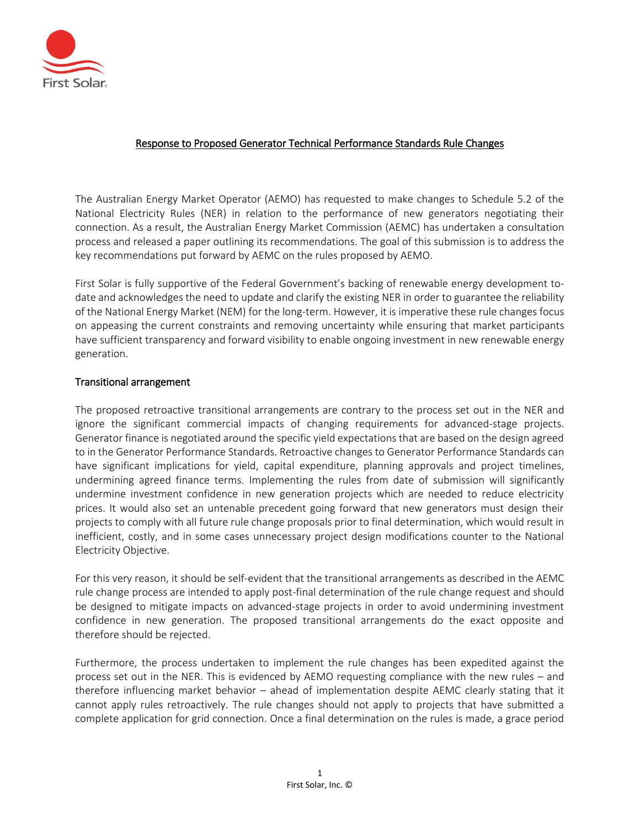

# Response to Proposed Generator Technical Performance Standards Rule Changes

The Australian Energy Market Operator (AEMO) has requested to make changes to Schedule 5.2 of the National Electricity Rules (NER) in relation to the performance of new generators negotiating their connection. As a result, the Australian Energy Market Commission (AEMC) has undertaken a consultation process and released a paper outlining its recommendations. The goal of this submission is to address the key recommendations put forward by AEMC on the rules proposed by AEMO.

First Solar is fully supportive of the Federal Government's backing of renewable energy development todate and acknowledges the need to update and clarify the existing NER in order to guarantee the reliability of the National Energy Market (NEM) for the long-term. However, it is imperative these rule changes focus on appeasing the current constraints and removing uncertainty while ensuring that market participants have sufficient transparency and forward visibility to enable ongoing investment in new renewable energy generation.

### Transitional arrangement

The proposed retroactive transitional arrangements are contrary to the process set out in the NER and ignore the significant commercial impacts of changing requirements for advanced-stage projects. Generator finance is negotiated around the specific yield expectations that are based on the design agreed to in the Generator Performance Standards. Retroactive changes to Generator Performance Standards can have significant implications for yield, capital expenditure, planning approvals and project timelines, undermining agreed finance terms. Implementing the rules from date of submission will significantly undermine investment confidence in new generation projects which are needed to reduce electricity prices. It would also set an untenable precedent going forward that new generators must design their projects to comply with all future rule change proposals prior to final determination, which would result in inefficient, costly, and in some cases unnecessary project design modifications counter to the National Electricity Objective.

For this very reason, it should be self-evident that the transitional arrangements as described in the AEMC rule change process are intended to apply post-final determination of the rule change request and should be designed to mitigate impacts on advanced-stage projects in order to avoid undermining investment confidence in new generation. The proposed transitional arrangements do the exact opposite and therefore should be rejected.

Furthermore, the process undertaken to implement the rule changes has been expedited against the process set out in the NER. This is evidenced by AEMO requesting compliance with the new rules – and therefore influencing market behavior – ahead of implementation despite AEMC clearly stating that it cannot apply rules retroactively. The rule changes should not apply to projects that have submitted a complete application for grid connection. Once a final determination on the rules is made, a grace period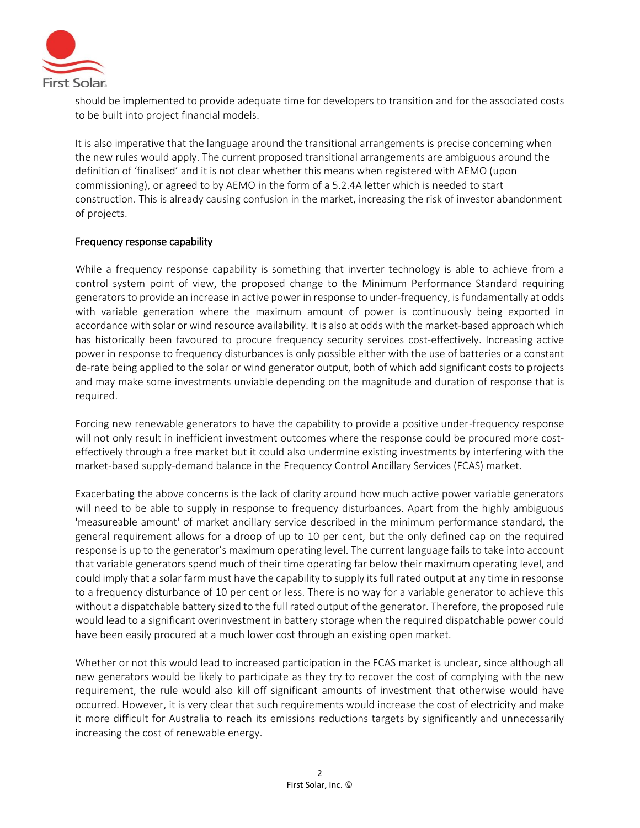

should be implemented to provide adequate time for developers to transition and for the associated costs to be built into project financial models.

It is also imperative that the language around the transitional arrangements is precise concerning when the new rules would apply. The current proposed transitional arrangements are ambiguous around the definition of 'finalised' and it is not clear whether this means when registered with AEMO (upon commissioning), or agreed to by AEMO in the form of a 5.2.4A letter which is needed to start construction. This is already causing confusion in the market, increasing the risk of investor abandonment of projects.

### Frequency response capability

While a frequency response capability is something that inverter technology is able to achieve from a control system point of view, the proposed change to the Minimum Performance Standard requiring generators to provide an increase in active power in response to under-frequency, is fundamentally at odds with variable generation where the maximum amount of power is continuously being exported in accordance with solar or wind resource availability. It is also at odds with the market-based approach which has historically been favoured to procure frequency security services cost-effectively. Increasing active power in response to frequency disturbances is only possible either with the use of batteries or a constant de-rate being applied to the solar or wind generator output, both of which add significant costs to projects and may make some investments unviable depending on the magnitude and duration of response that is required.

Forcing new renewable generators to have the capability to provide a positive under-frequency response will not only result in inefficient investment outcomes where the response could be procured more costeffectively through a free market but it could also undermine existing investments by interfering with the market-based supply-demand balance in the Frequency Control Ancillary Services (FCAS) market.

Exacerbating the above concerns is the lack of clarity around how much active power variable generators will need to be able to supply in response to frequency disturbances. Apart from the highly ambiguous 'measureable amount' of market ancillary service described in the minimum performance standard, the general requirement allows for a droop of up to 10 per cent, but the only defined cap on the required response is up to the generator's maximum operating level. The current language fails to take into account that variable generators spend much of their time operating far below their maximum operating level, and could imply that a solar farm must have the capability to supply its full rated output at any time in response to a frequency disturbance of 10 per cent or less. There is no way for a variable generator to achieve this without a dispatchable battery sized to the full rated output of the generator. Therefore, the proposed rule would lead to a significant overinvestment in battery storage when the required dispatchable power could have been easily procured at a much lower cost through an existing open market.

Whether or not this would lead to increased participation in the FCAS market is unclear, since although all new generators would be likely to participate as they try to recover the cost of complying with the new requirement, the rule would also kill off significant amounts of investment that otherwise would have occurred. However, it is very clear that such requirements would increase the cost of electricity and make it more difficult for Australia to reach its emissions reductions targets by significantly and unnecessarily increasing the cost of renewable energy.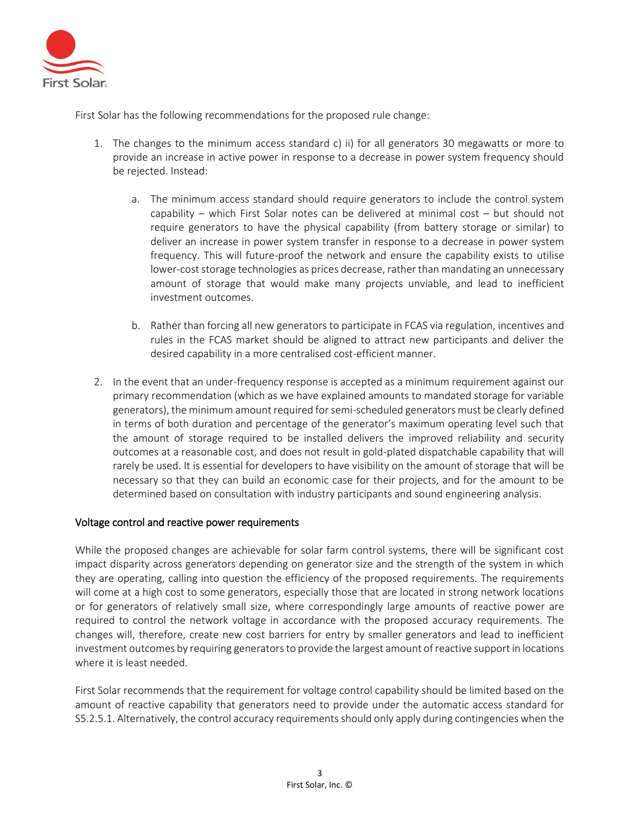

First Solar has the following recommendations for the proposed rule change:

- 1. The changes to the minimum access standard c) ii) for all generators 30 megawatts or more to provide an increase in active power in response to a decrease in power system frequency should be rejected. Instead:
	- a. The minimum access standard should require generators to include the control system capability – which First Solar notes can be delivered at minimal cost – but should not require generators to have the physical capability (from battery storage or similar) to deliver an increase in power system transfer in response to a decrease in power system frequency. This will future-proof the network and ensure the capability exists to utilise lower-cost storage technologies as prices decrease, rather than mandating an unnecessary amount of storage that would make many projects unviable, and lead to inefficient investment outcomes.
	- b. Rather than forcing all new generators to participate in FCAS via regulation, incentives and rules in the FCAS market should be aligned to attract new participants and deliver the desired capability in a more centralised cost-efficient manner.
- 2. In the event that an under-frequency response is accepted as a minimum requirement against our primary recommendation (which as we have explained amounts to mandated storage for variable generators), the minimum amount required for semi-scheduled generators must be clearly defined in terms of both duration and percentage of the generator's maximum operating level such that the amount of storage required to be installed delivers the improved reliability and security outcomes at a reasonable cost, and does not result in gold-plated dispatchable capability that will rarely be used. It is essential for developers to have visibility on the amount of storage that will be necessary so that they can build an economic case for their projects, and for the amount to be determined based on consultation with industry participants and sound engineering analysis.

### Voltage control and reactive power requirements

While the proposed changes are achievable for solar farm control systems, there will be significant cost impact disparity across generators depending on generator size and the strength of the system in which they are operating, calling into question the efficiency of the proposed requirements. The requirements will come at a high cost to some generators, especially those that are located in strong network locations or for generators of relatively small size, where correspondingly large amounts of reactive power are required to control the network voltage in accordance with the proposed accuracy requirements. The changes will, therefore, create new cost barriers for entry by smaller generators and lead to inefficient investment outcomes by requiring generators to provide the largest amount of reactive support in locations where it is least needed.

First Solar recommends that the requirement for voltage control capability should be limited based on the amount of reactive capability that generators need to provide under the automatic access standard for S5.2.5.1. Alternatively, the control accuracy requirements should only apply during contingencies when the